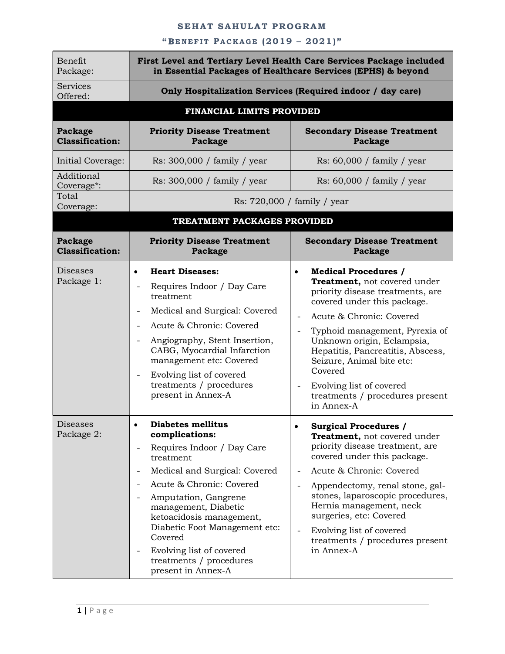## SEHAT SAHULAT PROGRAM

## "BENEFIT PACKAGE  $(2019 - 2021)$ "

| Benefit<br>Package:               | First Level and Tertiary Level Health Care Services Package included<br>in Essential Packages of Healthcare Services (EPHS) & beyond                                                                                                                                                                                                                                                                                                                                    |                                                                                                                                                                                                                                                                                                                                                                                                                                 |  |  |  |  |
|-----------------------------------|-------------------------------------------------------------------------------------------------------------------------------------------------------------------------------------------------------------------------------------------------------------------------------------------------------------------------------------------------------------------------------------------------------------------------------------------------------------------------|---------------------------------------------------------------------------------------------------------------------------------------------------------------------------------------------------------------------------------------------------------------------------------------------------------------------------------------------------------------------------------------------------------------------------------|--|--|--|--|
| <b>Services</b><br>Offered:       | Only Hospitalization Services (Required indoor / day care)                                                                                                                                                                                                                                                                                                                                                                                                              |                                                                                                                                                                                                                                                                                                                                                                                                                                 |  |  |  |  |
| FINANCIAL LIMITS PROVIDED         |                                                                                                                                                                                                                                                                                                                                                                                                                                                                         |                                                                                                                                                                                                                                                                                                                                                                                                                                 |  |  |  |  |
| Package<br><b>Classification:</b> | <b>Priority Disease Treatment</b><br>Package                                                                                                                                                                                                                                                                                                                                                                                                                            | <b>Secondary Disease Treatment</b><br>Package                                                                                                                                                                                                                                                                                                                                                                                   |  |  |  |  |
| Initial Coverage:                 | Rs: 300,000 / family / year                                                                                                                                                                                                                                                                                                                                                                                                                                             | Rs: 60,000 / family / year                                                                                                                                                                                                                                                                                                                                                                                                      |  |  |  |  |
| Additional<br>Coverage*:          | Rs: 300,000 / family / year                                                                                                                                                                                                                                                                                                                                                                                                                                             | Rs: 60,000 / family / year                                                                                                                                                                                                                                                                                                                                                                                                      |  |  |  |  |
| Total<br>Coverage:                | Rs: 720,000 / family / year                                                                                                                                                                                                                                                                                                                                                                                                                                             |                                                                                                                                                                                                                                                                                                                                                                                                                                 |  |  |  |  |
|                                   | TREATMENT PACKAGES PROVIDED                                                                                                                                                                                                                                                                                                                                                                                                                                             |                                                                                                                                                                                                                                                                                                                                                                                                                                 |  |  |  |  |
| Package<br><b>Classification:</b> | <b>Priority Disease Treatment</b><br>Package                                                                                                                                                                                                                                                                                                                                                                                                                            | <b>Secondary Disease Treatment</b><br>Package                                                                                                                                                                                                                                                                                                                                                                                   |  |  |  |  |
| Diseases<br>Package 1:            | <b>Heart Diseases:</b><br>$\bullet$<br>Requires Indoor / Day Care<br>$\bar{ }$<br>treatment<br>Medical and Surgical: Covered<br>$\overline{\phantom{a}}$<br>Acute & Chronic: Covered<br>$\overline{\phantom{a}}$<br>Angiography, Stent Insertion,<br>$\blacksquare$<br>CABG, Myocardial Infarction<br>management etc: Covered<br>Evolving list of covered<br>$\blacksquare$<br>treatments / procedures<br>present in Annex-A                                            | <b>Medical Procedures /</b><br>$\bullet$<br>Treatment, not covered under<br>priority disease treatments, are<br>covered under this package.<br>Acute & Chronic: Covered<br>Typhoid management, Pyrexia of<br>$\blacksquare$<br>Unknown origin, Eclampsia,<br>Hepatitis, Pancreatitis, Abscess,<br>Seizure, Animal bite etc:<br>Covered<br>Evolving list of covered<br>$\equiv$<br>treatments / procedures present<br>in Annex-A |  |  |  |  |
| <b>Diseases</b><br>Package 2:     | <b>Diabetes mellitus</b><br>complications:<br>Requires Indoor / Day Care<br>$\overline{\phantom{a}}$<br>treatment<br>Medical and Surgical: Covered<br>$\overline{\phantom{a}}$<br>Acute & Chronic: Covered<br>$\overline{\phantom{a}}$<br>Amputation, Gangrene<br>$\overline{\phantom{a}}$<br>management, Diabetic<br>ketoacidosis management,<br>Diabetic Foot Management etc:<br>Covered<br>Evolving list of covered<br>treatments / procedures<br>present in Annex-A | <b>Surgical Procedures /</b><br><b>Treatment, not covered under</b><br>priority disease treatment, are<br>covered under this package.<br>Acute & Chronic: Covered<br>Appendectomy, renal stone, gal-<br>$\overline{\phantom{a}}$<br>stones, laparoscopic procedures,<br>Hernia management, neck<br>surgeries, etc: Covered<br>Evolving list of covered<br>treatments / procedures present<br>in Annex-A                         |  |  |  |  |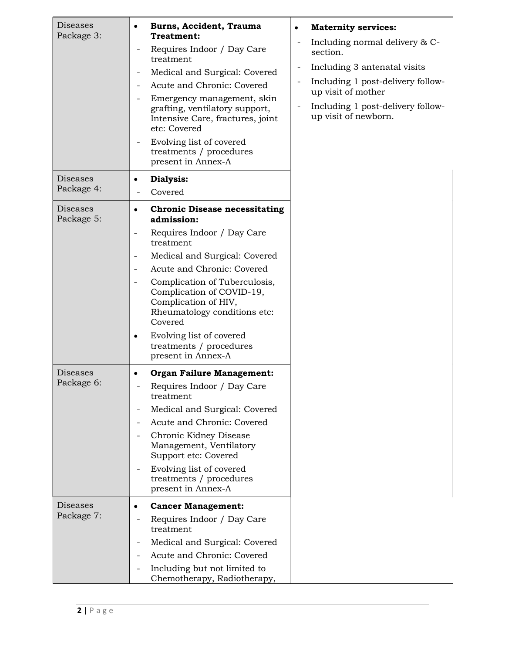| Diseases<br>Package 3: | ٠                            | Burns, Accident, Trauma<br>Treatment:                                                                                         | $\bullet$ | <b>Maternity services:</b>                                                                                                            |
|------------------------|------------------------------|-------------------------------------------------------------------------------------------------------------------------------|-----------|---------------------------------------------------------------------------------------------------------------------------------------|
|                        | $\overline{\phantom{a}}$     | Requires Indoor / Day Care                                                                                                    | ÷         | Including normal delivery & C-<br>section.<br>Including 3 antenatal visits<br>Including 1 post-delivery follow-<br>up visit of mother |
|                        | $\overline{\phantom{0}}$     | treatment<br>Medical and Surgical: Covered                                                                                    |           |                                                                                                                                       |
|                        | $\overline{\phantom{a}}$     | Acute and Chronic: Covered                                                                                                    |           |                                                                                                                                       |
|                        |                              | Emergency management, skin                                                                                                    |           |                                                                                                                                       |
|                        |                              | grafting, ventilatory support,<br>Intensive Care, fractures, joint<br>etc: Covered                                            | -         | Including 1 post-delivery follow-<br>up visit of newborn.                                                                             |
|                        |                              | Evolving list of covered<br>treatments / procedures<br>present in Annex-A                                                     |           |                                                                                                                                       |
| Diseases<br>Package 4: | ٠                            | Dialysis:                                                                                                                     |           |                                                                                                                                       |
|                        |                              | Covered                                                                                                                       |           |                                                                                                                                       |
| Diseases<br>Package 5: | ٠                            | <b>Chronic Disease necessitating</b><br>admission:                                                                            |           |                                                                                                                                       |
|                        | $\overline{\phantom{a}}$     | Requires Indoor / Day Care<br>treatment                                                                                       |           |                                                                                                                                       |
|                        | $\overline{\phantom{a}}$     | Medical and Surgical: Covered                                                                                                 |           |                                                                                                                                       |
|                        | $\overline{\phantom{a}}$     | Acute and Chronic: Covered                                                                                                    |           |                                                                                                                                       |
|                        | $\qquad \qquad \blacksquare$ | Complication of Tuberculosis,<br>Complication of COVID-19,<br>Complication of HIV,<br>Rheumatology conditions etc:<br>Covered |           |                                                                                                                                       |
|                        | ٠                            | Evolving list of covered<br>treatments / procedures<br>present in Annex-A                                                     |           |                                                                                                                                       |
| Diseases               | ٠                            | <b>Organ Failure Management:</b>                                                                                              |           |                                                                                                                                       |
| Package 6:             |                              | Requires Indoor / Day Care<br>treatment                                                                                       |           |                                                                                                                                       |
|                        | $\qquad \qquad -$            | Medical and Surgical: Covered                                                                                                 |           |                                                                                                                                       |
|                        | $\overline{\phantom{a}}$     | Acute and Chronic: Covered                                                                                                    |           |                                                                                                                                       |
|                        | $\overline{\phantom{0}}$     | Chronic Kidney Disease<br>Management, Ventilatory<br>Support etc: Covered                                                     |           |                                                                                                                                       |
|                        |                              | Evolving list of covered<br>treatments / procedures<br>present in Annex-A                                                     |           |                                                                                                                                       |
| Diseases<br>Package 7: | ٠                            | <b>Cancer Management:</b>                                                                                                     |           |                                                                                                                                       |
|                        |                              | Requires Indoor / Day Care<br>treatment                                                                                       |           |                                                                                                                                       |
|                        |                              | Medical and Surgical: Covered                                                                                                 |           |                                                                                                                                       |
|                        | $\overline{\phantom{0}}$     | Acute and Chronic: Covered                                                                                                    |           |                                                                                                                                       |
|                        |                              | Including but not limited to<br>Chemotherapy, Radiotherapy,                                                                   |           |                                                                                                                                       |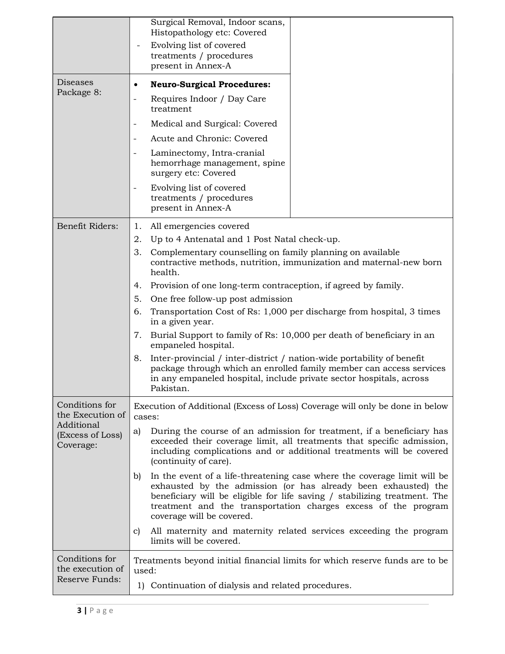|                                             | Surgical Removal, Indoor scans,<br>Histopathology etc: Covered                                                                                                                                                                                                                                                               |  |  |  |  |
|---------------------------------------------|------------------------------------------------------------------------------------------------------------------------------------------------------------------------------------------------------------------------------------------------------------------------------------------------------------------------------|--|--|--|--|
|                                             | Evolving list of covered<br>treatments / procedures                                                                                                                                                                                                                                                                          |  |  |  |  |
|                                             | present in Annex-A                                                                                                                                                                                                                                                                                                           |  |  |  |  |
| Diseases<br>Package 8:                      | <b>Neuro-Surgical Procedures:</b><br>٠                                                                                                                                                                                                                                                                                       |  |  |  |  |
|                                             | Requires Indoor / Day Care<br>$\qquad \qquad -$<br>treatment                                                                                                                                                                                                                                                                 |  |  |  |  |
|                                             | Medical and Surgical: Covered                                                                                                                                                                                                                                                                                                |  |  |  |  |
|                                             | Acute and Chronic: Covered<br>$\overline{\phantom{0}}$                                                                                                                                                                                                                                                                       |  |  |  |  |
|                                             | Laminectomy, Intra-cranial<br>$\overline{\phantom{0}}$<br>hemorrhage management, spine<br>surgery etc: Covered                                                                                                                                                                                                               |  |  |  |  |
|                                             | Evolving list of covered<br>$\qquad \qquad -$<br>treatments / procedures<br>present in Annex-A                                                                                                                                                                                                                               |  |  |  |  |
| <b>Benefit Riders:</b>                      | All emergencies covered<br>1.                                                                                                                                                                                                                                                                                                |  |  |  |  |
|                                             | 2.<br>Up to 4 Antenatal and 1 Post Natal check-up.                                                                                                                                                                                                                                                                           |  |  |  |  |
|                                             | 3.<br>Complementary counselling on family planning on available<br>contractive methods, nutrition, immunization and maternal-new born<br>health.                                                                                                                                                                             |  |  |  |  |
|                                             | Provision of one long-term contraception, if agreed by family.<br>4.                                                                                                                                                                                                                                                         |  |  |  |  |
|                                             | 5.<br>One free follow-up post admission                                                                                                                                                                                                                                                                                      |  |  |  |  |
|                                             | Transportation Cost of Rs: 1,000 per discharge from hospital, 3 times<br>6.<br>in a given year.                                                                                                                                                                                                                              |  |  |  |  |
|                                             | Burial Support to family of Rs: 10,000 per death of beneficiary in an<br>7.<br>empaneled hospital.                                                                                                                                                                                                                           |  |  |  |  |
|                                             | 8.<br>Inter-provincial / inter-district / nation-wide portability of benefit<br>package through which an enrolled family member can access services<br>in any empaneled hospital, include private sector hospitals, across<br>Pakistan.                                                                                      |  |  |  |  |
| Conditions for<br>the Execution of          | Execution of Additional (Excess of Loss) Coverage will only be done in below<br>cases:                                                                                                                                                                                                                                       |  |  |  |  |
| Additional<br>(Excess of Loss)<br>Coverage: | During the course of an admission for treatment, if a beneficiary has<br>a)<br>exceeded their coverage limit, all treatments that specific admission,<br>including complications and or additional treatments will be covered<br>(continuity of care).                                                                       |  |  |  |  |
|                                             | In the event of a life-threatening case where the coverage limit will be<br>b)<br>exhausted by the admission (or has already been exhausted) the<br>beneficiary will be eligible for life saving / stabilizing treatment. The<br>treatment and the transportation charges excess of the program<br>coverage will be covered. |  |  |  |  |
|                                             | All maternity and maternity related services exceeding the program<br>C)<br>limits will be covered.                                                                                                                                                                                                                          |  |  |  |  |
| Conditions for<br>the execution of          | Treatments beyond initial financial limits for which reserve funds are to be<br>used:                                                                                                                                                                                                                                        |  |  |  |  |
| Reserve Funds:                              | 1) Continuation of dialysis and related procedures.                                                                                                                                                                                                                                                                          |  |  |  |  |